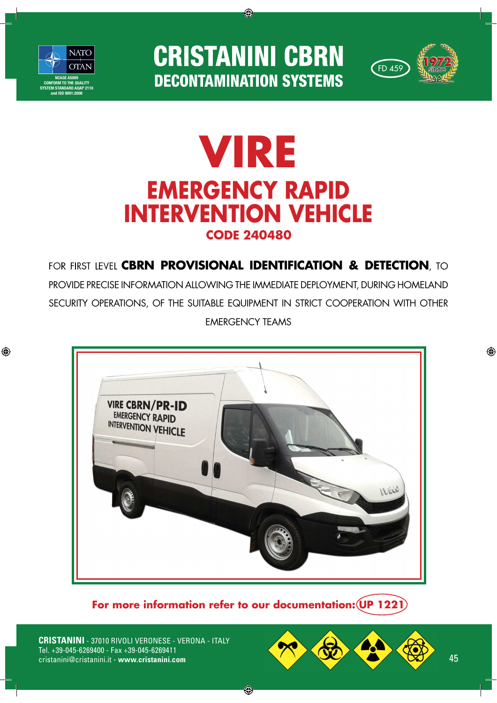

◈

**CRISTANINI CBRN DECONTAMINATION SYSTEMS** 

◈



## **VIRE EMERGENCY RAPID INTERVENTION VEHICLECODE 240480**

for first level CBRN **Provisional identification & detection**, to PROVIDE PRECISE INFORMATION ALLOWING THE IMMEDIATE DEPLOYMENT, DURING HOMELAND SECURITY OPERATIONS, OF THE SUITABLE EQUIPMENT IN STRICT COOPERATION WITH OTHER EMERGENCY TEAMS



**For more information refer to our documentation: UP 1221**

◈

**CRISTANINI** - 37010 RIVOLI VERONESE - VERONA - ITALY Tel. +39-045-6269400 - Fax +39-045-6269411 cristanini@cristanini.it - www.cristanini.com



◈